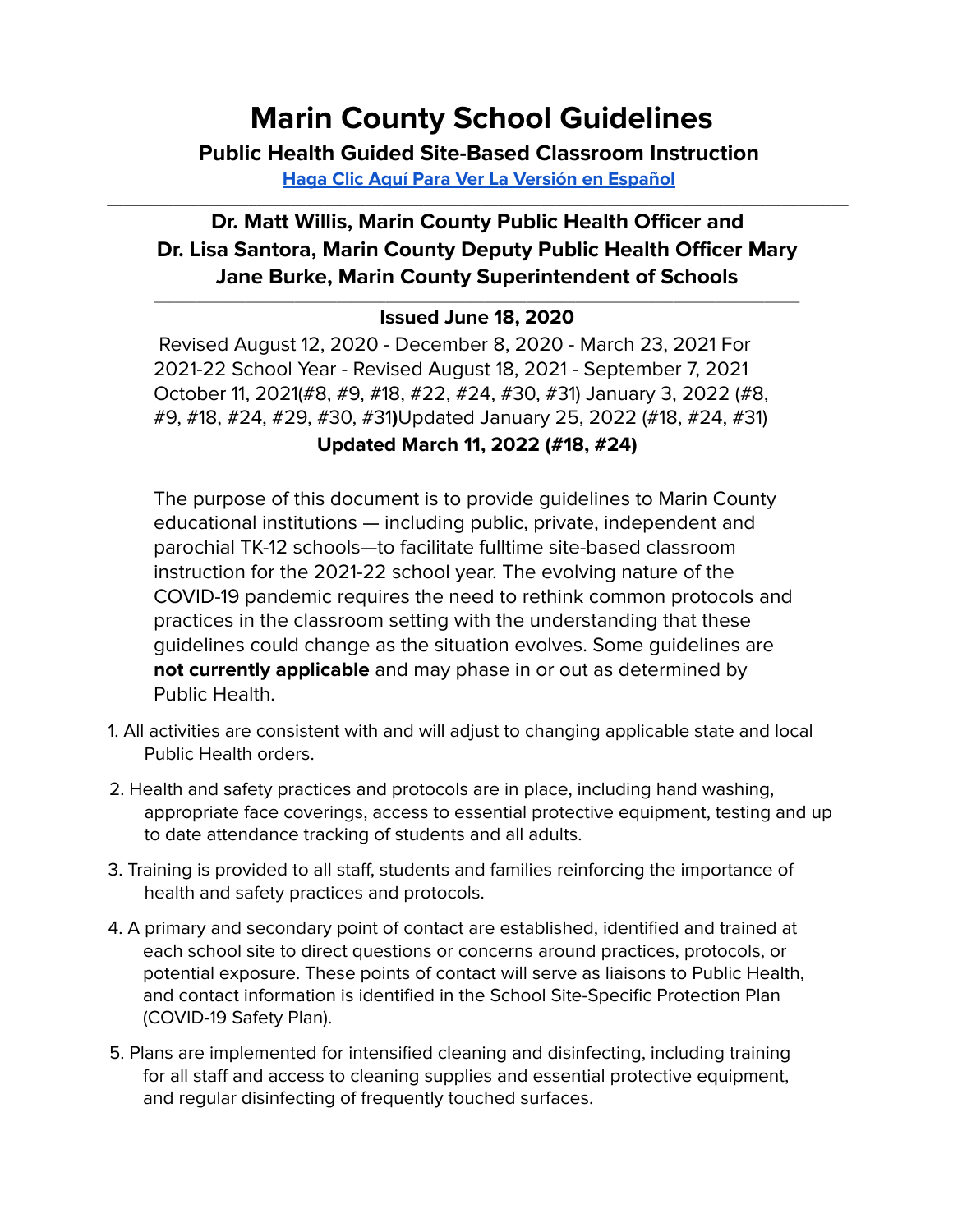# **Marin County School Guidelines**

**Public Health Guided Site-Based Classroom Instruction Haga Clic Aquí Para Ver La Versión en Español**

\_\_\_\_\_\_\_\_\_\_\_\_\_\_\_\_\_\_\_\_\_\_\_\_\_\_\_\_\_\_\_\_\_\_\_\_\_\_\_\_\_\_\_\_\_\_\_\_\_\_\_\_\_\_\_\_\_\_\_\_\_\_\_\_\_\_\_\_\_\_\_\_\_\_\_\_\_\_\_\_\_\_\_\_\_\_\_\_\_

## **Dr. Matt Willis, Marin County Public Health Officer and Dr. Lisa Santora, Marin County Deputy Public Health Officer Mary Jane Burke, Marin County Superintendent of Schools**

#### $\_$  ,  $\_$  ,  $\_$  ,  $\_$  ,  $\_$  ,  $\_$  ,  $\_$  ,  $\_$  ,  $\_$  ,  $\_$  ,  $\_$  ,  $\_$  ,  $\_$  ,  $\_$  ,  $\_$  ,  $\_$  ,  $\_$  ,  $\_$  ,  $\_$  ,  $\_$  ,  $\_$  ,  $\_$  ,  $\_$  ,  $\_$  ,  $\_$  ,  $\_$  ,  $\_$  ,  $\_$  ,  $\_$  ,  $\_$  ,  $\_$  ,  $\_$  ,  $\_$  ,  $\_$  ,  $\_$  ,  $\_$  ,  $\_$  , **Issued June 18, 2020**

Revised August 12, 2020 - December 8, 2020 - March 23, 2021 For 2021-22 School Year - Revised August 18, 2021 - September 7, 2021 October 11, 2021(#8, #9, #18, #22, #24, #30, #31) January 3, 2022 (#8, #9, #18, #24, #29, #30, #31**)**Updated January 25, 2022 (#18, #24, #31) **Updated March 11, 2022 (#18, #24)**

The purpose of this document is to provide guidelines to Marin County educational institutions — including public, private, independent and parochial TK-12 schools—to facilitate fulltime site-based classroom instruction for the 2021-22 school year. The evolving nature of the COVID-19 pandemic requires the need to rethink common protocols and practices in the classroom setting with the understanding that these guidelines could change as the situation evolves. Some guidelines are **not currently applicable** and may phase in or out as determined by Public Health.

- 1. All activities are consistent with and will adjust to changing applicable state and local Public Health orders.
- 2. Health and safety practices and protocols are in place, including hand washing, appropriate face coverings, access to essential protective equipment, testing and up to date attendance tracking of students and all adults.
- 3. Training is provided to all staff, students and families reinforcing the importance of health and safety practices and protocols.
- 4. A primary and secondary point of contact are established, identified and trained at each school site to direct questions or concerns around practices, protocols, or potential exposure. These points of contact will serve as liaisons to Public Health, and contact information is identified in the School Site-Specific Protection Plan (COVID-19 Safety Plan).
- 5. Plans are implemented for intensified cleaning and disinfecting, including training for all staff and access to cleaning supplies and essential protective equipment, and regular disinfecting of frequently touched surfaces.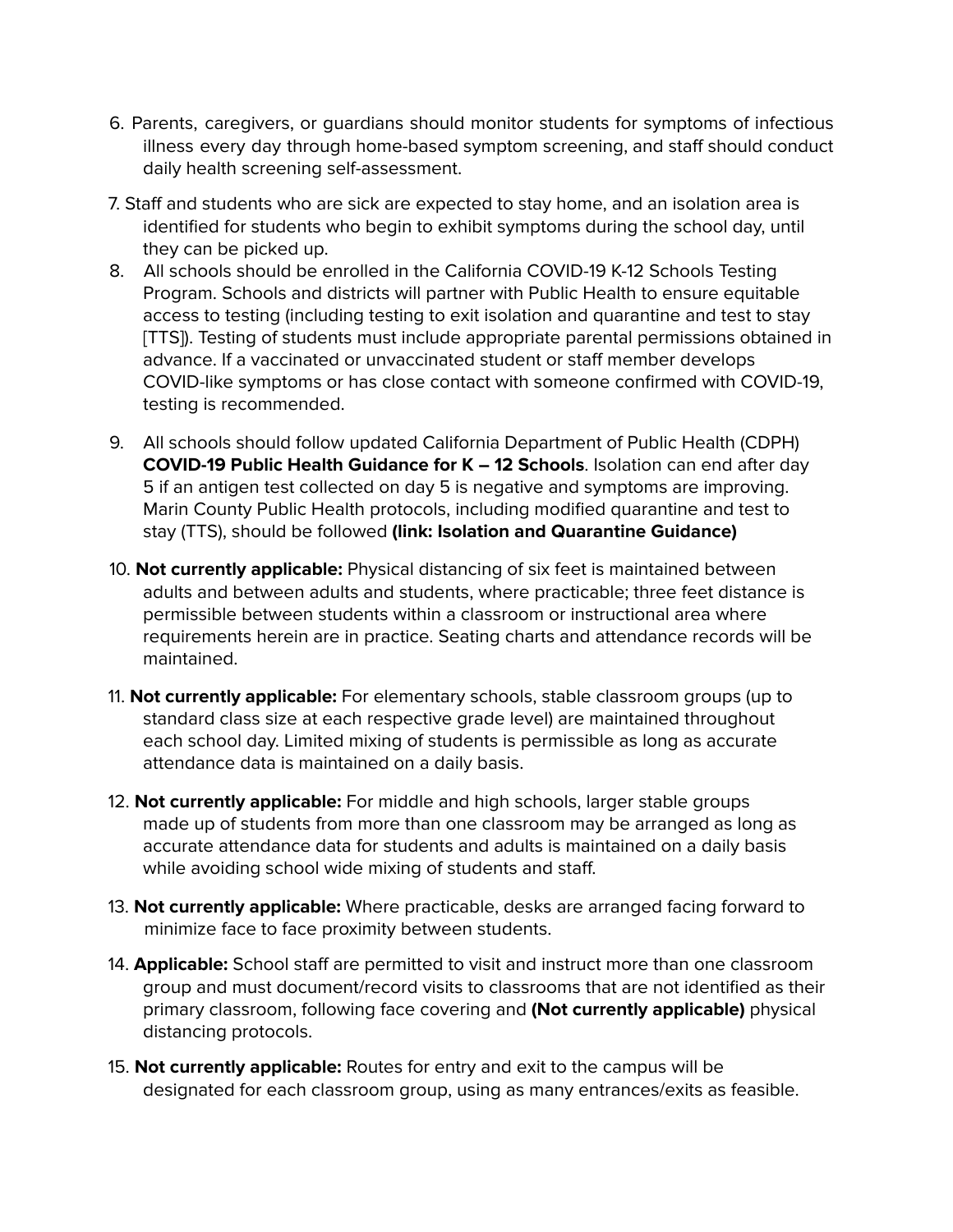- 6. Parents, caregivers, or guardians should monitor students for symptoms of infectious illness every day through home-based symptom screening, and staff should conduct daily health screening self-assessment.
- 7. Staff and students who are sick are expected to stay home, and an isolation area is identified for students who begin to exhibit symptoms during the school day, until they can be picked up.
- 8. All schools should be enrolled in the California COVID-19 K-12 Schools Testing Program. Schools and districts will partner with Public Health to ensure equitable access to testing (including testing to exit isolation and quarantine and test to stay [TTS]). Testing of students must include appropriate parental permissions obtained in advance. If a vaccinated or unvaccinated student or staff member develops COVID-like symptoms or has close contact with someone confirmed with COVID-19, testing is recommended.
- 9. All schools should follow updated California Department of Public Health (CDPH) **COVID-19 Public Health Guidance for K – 12 Schools**. Isolation can end after day 5 if an antigen test collected on day 5 is negative and symptoms are improving. Marin County Public Health protocols, including modified quarantine and test to stay (TTS), should be followed **(link: Isolation and Quarantine Guidance)**
- 10. **Not currently applicable:** Physical distancing of six feet is maintained between adults and between adults and students, where practicable; three feet distance is permissible between students within a classroom or instructional area where requirements herein are in practice. Seating charts and attendance records will be maintained.
- 11. **Not currently applicable:** For elementary schools, stable classroom groups (up to standard class size at each respective grade level) are maintained throughout each school day. Limited mixing of students is permissible as long as accurate attendance data is maintained on a daily basis.
- 12. **Not currently applicable:** For middle and high schools, larger stable groups made up of students from more than one classroom may be arranged as long as accurate attendance data for students and adults is maintained on a daily basis while avoiding school wide mixing of students and staff.
- 13. **Not currently applicable:** Where practicable, desks are arranged facing forward to minimize face to face proximity between students.
- 14. **Applicable:** School staff are permitted to visit and instruct more than one classroom group and must document/record visits to classrooms that are not identified as their primary classroom, following face covering and **(Not currently applicable)** physical distancing protocols.
- 15. **Not currently applicable:** Routes for entry and exit to the campus will be designated for each classroom group, using as many entrances/exits as feasible.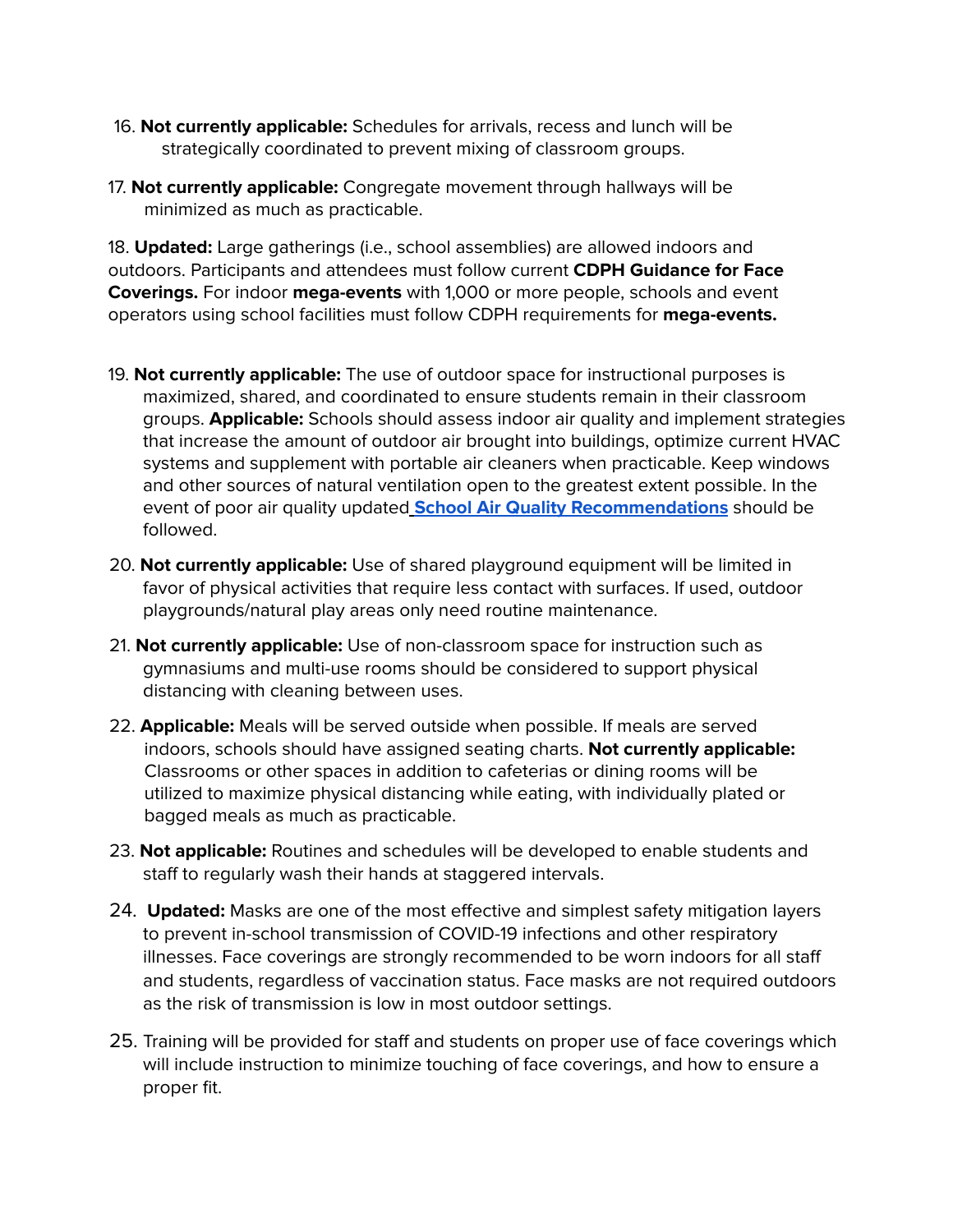- 16. **Not currently applicable:** Schedules for arrivals, recess and lunch will be strategically coordinated to prevent mixing of classroom groups.
- 17. **Not currently applicable:** Congregate movement through hallways will be minimized as much as practicable.

18. **Updated:** Large gatherings (i.e., school assemblies) are allowed indoors and outdoors. Participants and attendees must follow current **CDPH Guidance for Face Coverings.** For indoor **mega-events** with 1,000 or more people, schools and event operators using school facilities must follow CDPH requirements for **mega-events.**

- 19. **Not currently applicable:** The use of outdoor space for instructional purposes is maximized, shared, and coordinated to ensure students remain in their classroom groups. **Applicable:** Schools should assess indoor air quality and implement strategies that increase the amount of outdoor air brought into buildings, optimize current HVAC systems and supplement with portable air cleaners when practicable. Keep windows and other sources of natural ventilation open to the greatest extent possible. In the event of poor air quality updated **School Air Quality Recommendations** should be followed.
- 20. **Not currently applicable:** Use of shared playground equipment will be limited in favor of physical activities that require less contact with surfaces. If used, outdoor playgrounds/natural play areas only need routine maintenance.
- 21. **Not currently applicable:** Use of non-classroom space for instruction such as gymnasiums and multi-use rooms should be considered to support physical distancing with cleaning between uses.
- 22. **Applicable:** Meals will be served outside when possible. If meals are served indoors, schools should have assigned seating charts. **Not currently applicable:** Classrooms or other spaces in addition to cafeterias or dining rooms will be utilized to maximize physical distancing while eating, with individually plated or bagged meals as much as practicable.
- 23. **Not applicable:** Routines and schedules will be developed to enable students and staff to regularly wash their hands at staggered intervals.
- 24. **Updated:** Masks are one of the most effective and simplest safety mitigation layers to prevent in-school transmission of COVID-19 infections and other respiratory illnesses. Face coverings are strongly recommended to be worn indoors for all staff and students, regardless of vaccination status. Face masks are not required outdoors as the risk of transmission is low in most outdoor settings.
- 25. Training will be provided for staff and students on proper use of face coverings which will include instruction to minimize touching of face coverings, and how to ensure a proper fit.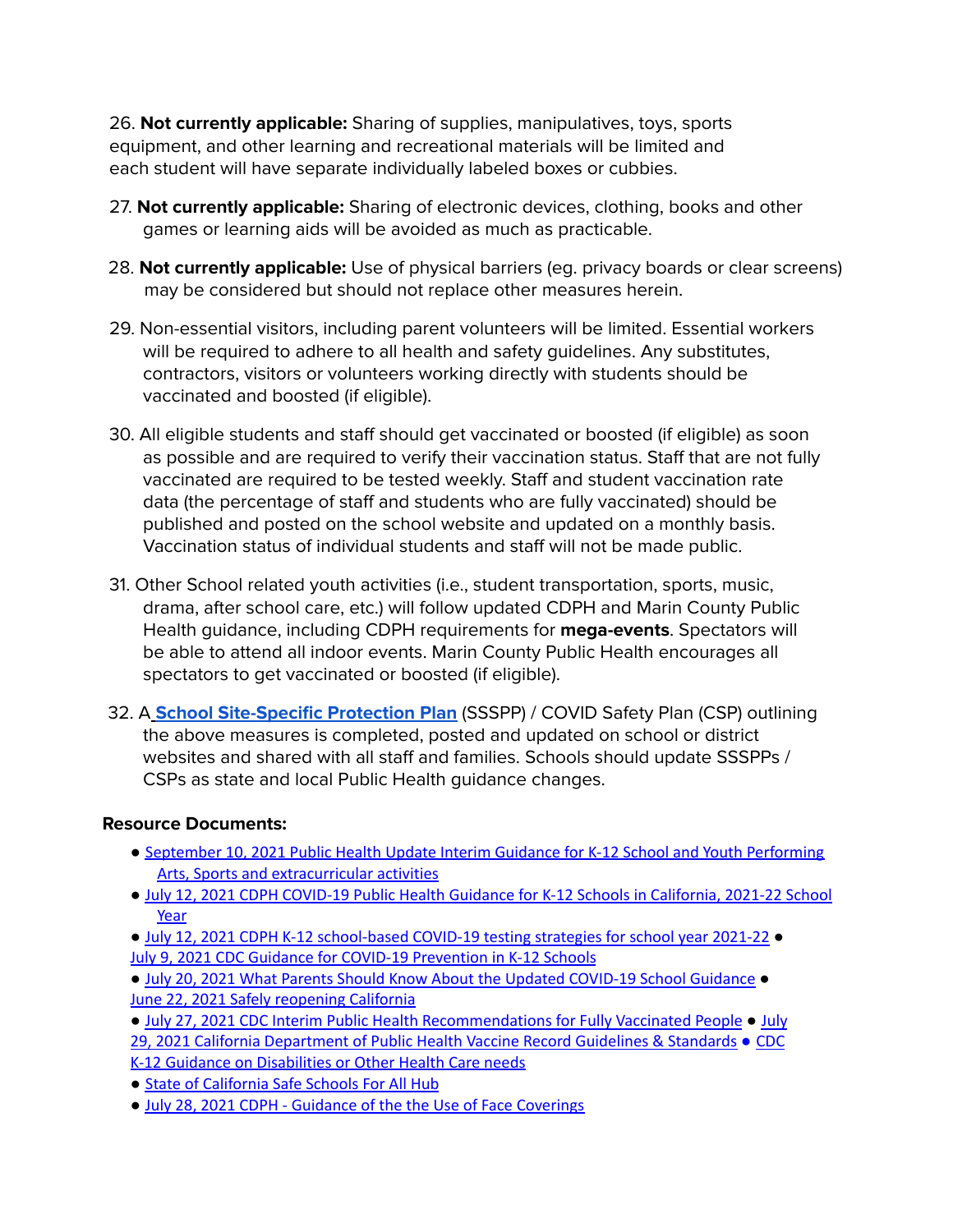26. **Not currently applicable:** Sharing of supplies, manipulatives, toys, sports equipment, and other learning and recreational materials will be limited and each student will have separate individually labeled boxes or cubbies.

- 27. **Not currently applicable:** Sharing of electronic devices, clothing, books and other games or learning aids will be avoided as much as practicable.
- 28. **Not currently applicable:** Use of physical barriers (eg. privacy boards or clear screens) may be considered but should not replace other measures herein.
- 29. Non-essential visitors, including parent volunteers will be limited. Essential workers will be required to adhere to all health and safety guidelines. Any substitutes, contractors, visitors or volunteers working directly with students should be vaccinated and boosted (if eligible).
- 30. All eligible students and staff should get vaccinated or boosted (if eligible) as soon as possible and are required to verify their vaccination status. Staff that are not fully vaccinated are required to be tested weekly. Staff and student vaccination rate data (the percentage of staff and students who are fully vaccinated) should be published and posted on the school website and updated on a monthly basis. Vaccination status of individual students and staff will not be made public.
- 31. Other School related youth activities (i.e., student transportation, sports, music, drama, after school care, etc.) will follow updated CDPH and Marin County Public Health guidance, including CDPH requirements for **mega-events**. Spectators will be able to attend all indoor events. Marin County Public Health encourages all spectators to get vaccinated or boosted (if eligible).
- 32. A **School Site-Specific Protection Plan** (SSSPP) / COVID Safety Plan (CSP) outlining the above measures is completed, posted and updated on school or district websites and shared with all staff and families. Schools should update SSSPPs / CSPs as state and local Public Health guidance changes.

### **Resource Documents:**

- September 10, 2021 Public Health Update Interim Guidance for K-12 School and Youth Performing Arts, Sports and extracurricular activities
- July 12, 2021 CDPH COVID-19 Public Health Guidance for K-12 Schools in California, 2021-22 School Year
- July 12, 2021 CDPH K-12 school-based COVID-19 testing strategies for school year 2021-22 July 9, 2021 CDC Guidance for COVID-19 Prevention in K-12 Schools
- July 20, 2021 What Parents Should Know About the Updated COVID-19 School Guidance June 22, 2021 Safely reopening California
- July 27, 2021 CDC Interim Public Health Recommendations for Fully Vaccinated People July 29, 2021 California Department of Public Health Vaccine Record Guidelines & Standards ● CDC K-12 Guidance on Disabilities or Other Health Care needs
- State of California Safe Schools For All Hub
- July 28, 2021 CDPH Guidance of the the Use of Face Coverings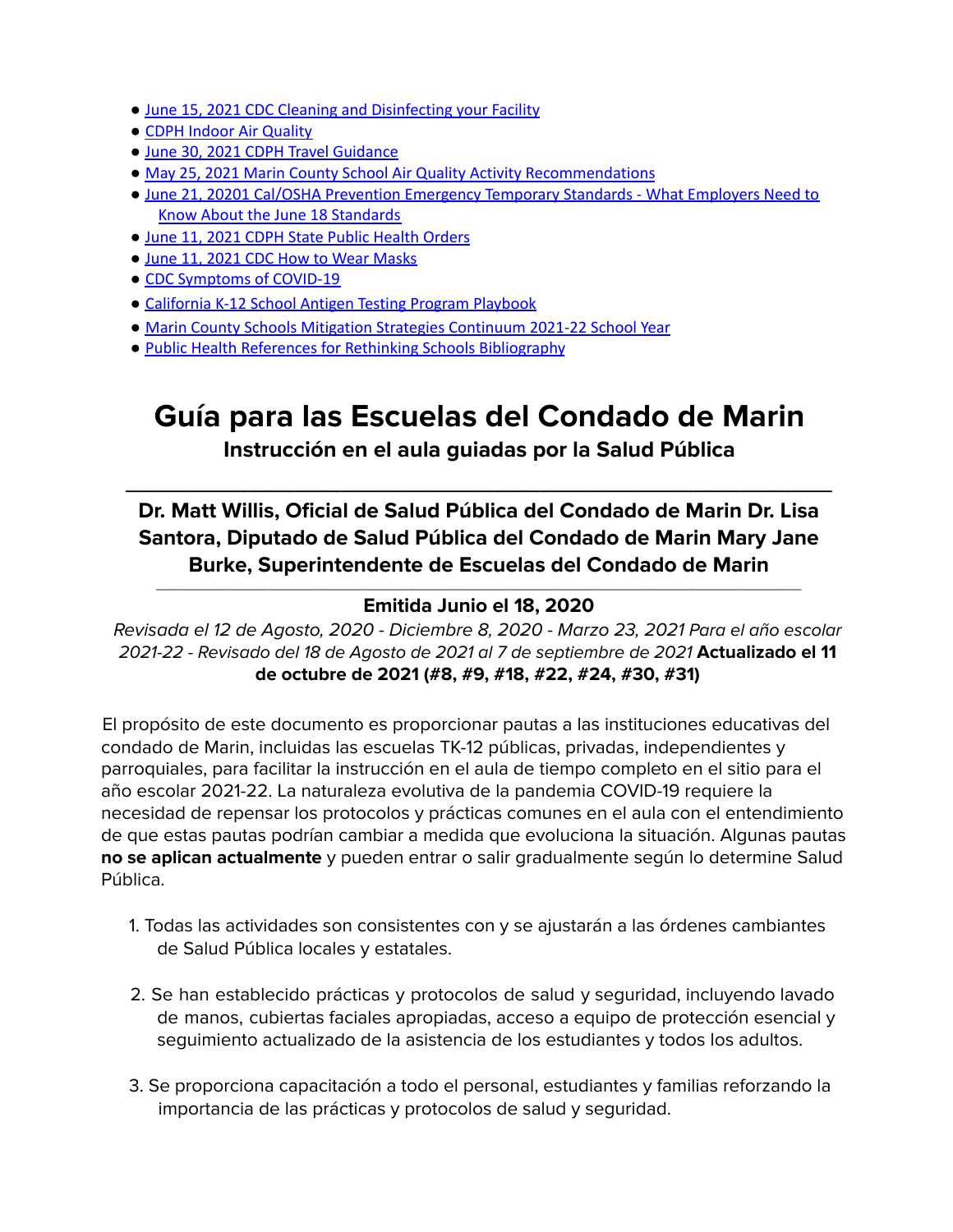- June 15, 2021 CDC Cleaning and Disinfecting your Facility
- CDPH Indoor Air Quality
- June 30, 2021 CDPH Travel Guidance
- May 25, 2021 Marin County School Air Quality Activity Recommendations
- June 21, 20201 Cal/OSHA Prevention Emergency Temporary Standards What Employers Need to Know About the June 18 Standards
- June 11, 2021 CDPH State Public Health Orders
- June 11, 2021 CDC How to Wear Masks
- CDC Symptoms of COVID-19
- California K-12 School Antigen Testing Program Playbook
- Marin County Schools Mitigation Strategies Continuum 2021-22 School Year
- Public Health References for Rethinking Schools Bibliography

# **Guía para las Escuelas del Condado de Marin**

## **Instrucción en el aula guiadas por la Salud Pública**

 $\overline{\phantom{a}}$  , and the contract of the contract of the contract of the contract of the contract of the contract of the contract of the contract of the contract of the contract of the contract of the contract of the contrac

**Dr. Matt Willis, Oficial de Salud Pública del Condado de Marin Dr. Lisa Santora, Diputado de Salud Pública del Condado de Marin Mary Jane Burke, Superintendente de Escuelas del Condado de Marin**

#### $\_$  ,  $\_$  ,  $\_$  ,  $\_$  ,  $\_$  ,  $\_$  ,  $\_$  ,  $\_$  ,  $\_$  ,  $\_$  ,  $\_$  ,  $\_$  ,  $\_$  ,  $\_$  ,  $\_$  ,  $\_$  ,  $\_$  ,  $\_$  ,  $\_$  ,  $\_$  ,  $\_$  ,  $\_$  ,  $\_$  ,  $\_$  ,  $\_$  ,  $\_$  ,  $\_$  ,  $\_$  ,  $\_$  ,  $\_$  ,  $\_$  ,  $\_$  ,  $\_$  ,  $\_$  ,  $\_$  ,  $\_$  ,  $\_$  , **Emitida Junio el 18, 2020**

Revisada el 12 de Agosto, 2020 - Diciembre 8, 2020 - Marzo 23, 2021 Para el año escolar 2021-22 - Revisado del 18 de Agosto de 2021 al 7 de septiembre de 2021 **Actualizado el 11 de octubre de 2021 (#8, #9, #18, #22, #24, #30, #31)**

El propósito de este documento es proporcionar pautas a las instituciones educativas del condado de Marin, incluidas las escuelas TK-12 públicas, privadas, independientes y parroquiales, para facilitar la instrucción en el aula de tiempo completo en el sitio para el año escolar 2021-22. La naturaleza evolutiva de la pandemia COVID-19 requiere la necesidad de repensar los protocolos y prácticas comunes en el aula con el entendimiento de que estas pautas podrían cambiar a medida que evoluciona la situación. Algunas pautas **no se aplican actualmente** y pueden entrar o salir gradualmente según lo determine Salud Pública.

- 1. Todas las actividades son consistentes con y se ajustarán a las órdenes cambiantes de Salud Pública locales y estatales.
- 2. Se han establecido prácticas y protocolos de salud y seguridad, incluyendo lavado de manos, cubiertas faciales apropiadas, acceso a equipo de protección esencial y seguimiento actualizado de la asistencia de los estudiantes y todos los adultos.
- 3. Se proporciona capacitación a todo el personal, estudiantes y familias reforzando la importancia de las prácticas y protocolos de salud y seguridad.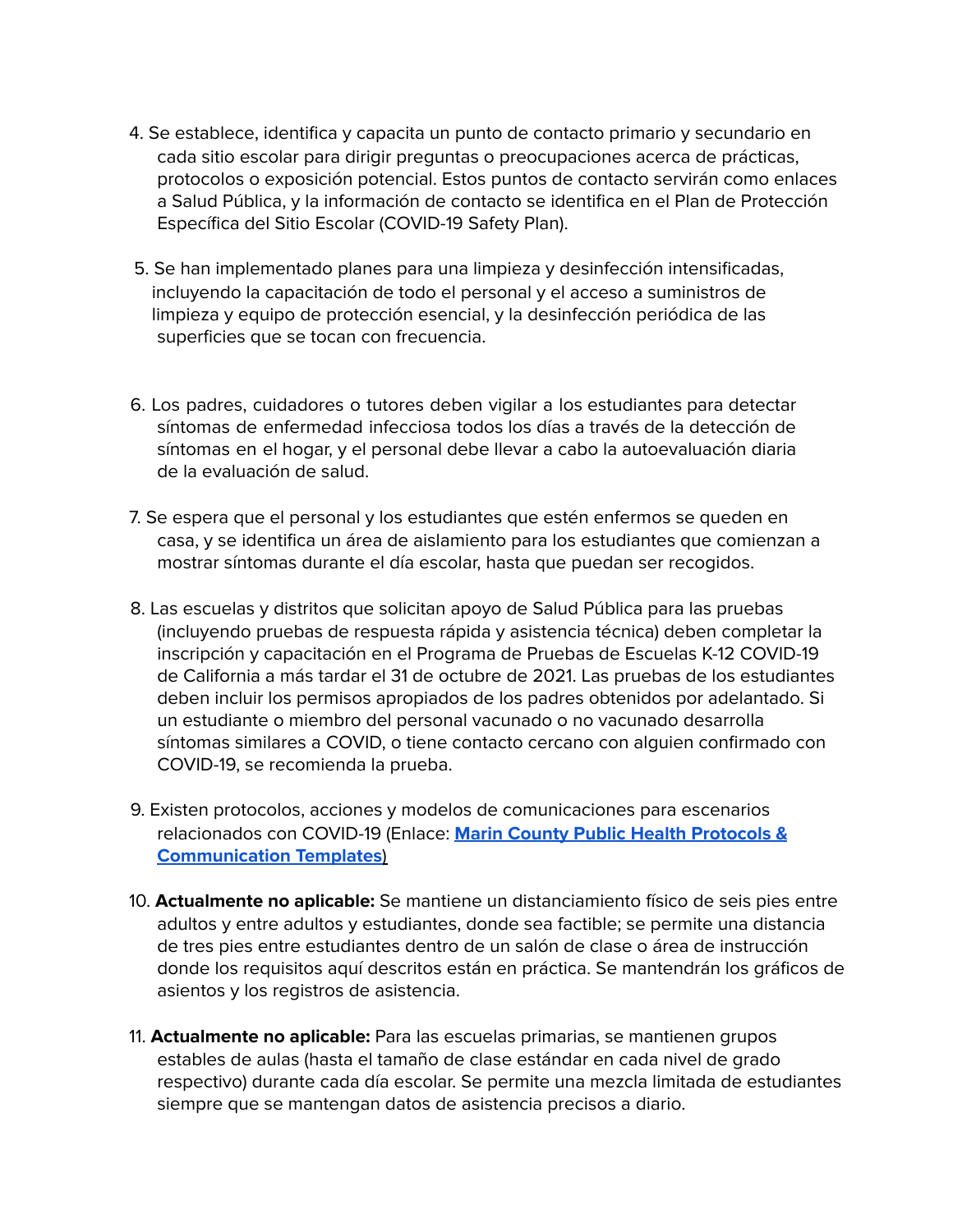- 4. Se establece, identifica y capacita un punto de contacto primario y secundario en cada sitio escolar para dirigir preguntas o preocupaciones acerca de prácticas, protocolos o exposición potencial. Estos puntos de contacto servirán como enlaces a Salud Pública, y la información de contacto se identifica en el Plan de Protección Específica del Sitio Escolar (COVID-19 Safety Plan).
- 5. Se han implementado planes para una limpieza y desinfección intensificadas, incluyendo la capacitación de todo el personal y el acceso a suministros de limpieza y equipo de protección esencial, y la desinfección periódica de las superficies que se tocan con frecuencia.
- 6. Los padres, cuidadores o tutores deben vigilar a los estudiantes para detectar síntomas de enfermedad infecciosa todos los días a través de la detección de síntomas en el hogar, y el personal debe llevar a cabo la autoevaluación diaria de la evaluación de salud.
- 7. Se espera que el personal y los estudiantes que estén enfermos se queden en casa, y se identifica un área de aislamiento para los estudiantes que comienzan a mostrar síntomas durante el día escolar, hasta que puedan ser recogidos.
- 8. Las escuelas y distritos que solicitan apoyo de Salud Pública para las pruebas (incluyendo pruebas de respuesta rápida y asistencia técnica) deben completar la inscripción y capacitación en el Programa de Pruebas de Escuelas K-12 COVID-19 de California a más tardar el 31 de octubre de 2021. Las pruebas de los estudiantes deben incluir los permisos apropiados de los padres obtenidos por adelantado. Si un estudiante o miembro del personal vacunado o no vacunado desarrolla síntomas similares a COVID, o tiene contacto cercano con alguien confirmado con COVID-19, se recomienda la prueba.
- 9. Existen protocolos, acciones y modelos de comunicaciones para escenarios relacionados con COVID-19 (Enlace: **Marin County Public Health Protocols & Communication Templates**)
- 10. **Actualmente no aplicable:** Se mantiene un distanciamiento físico de seis pies entre adultos y entre adultos y estudiantes, donde sea factible; se permite una distancia de tres pies entre estudiantes dentro de un salón de clase o área de instrucción donde los requisitos aquí descritos están en práctica. Se mantendrán los gráficos de asientos y los registros de asistencia.
- 11. **Actualmente no aplicable:** Para las escuelas primarias, se mantienen grupos estables de aulas (hasta el tamaño de clase estándar en cada nivel de grado respectivo) durante cada día escolar. Se permite una mezcla limitada de estudiantes siempre que se mantengan datos de asistencia precisos a diario.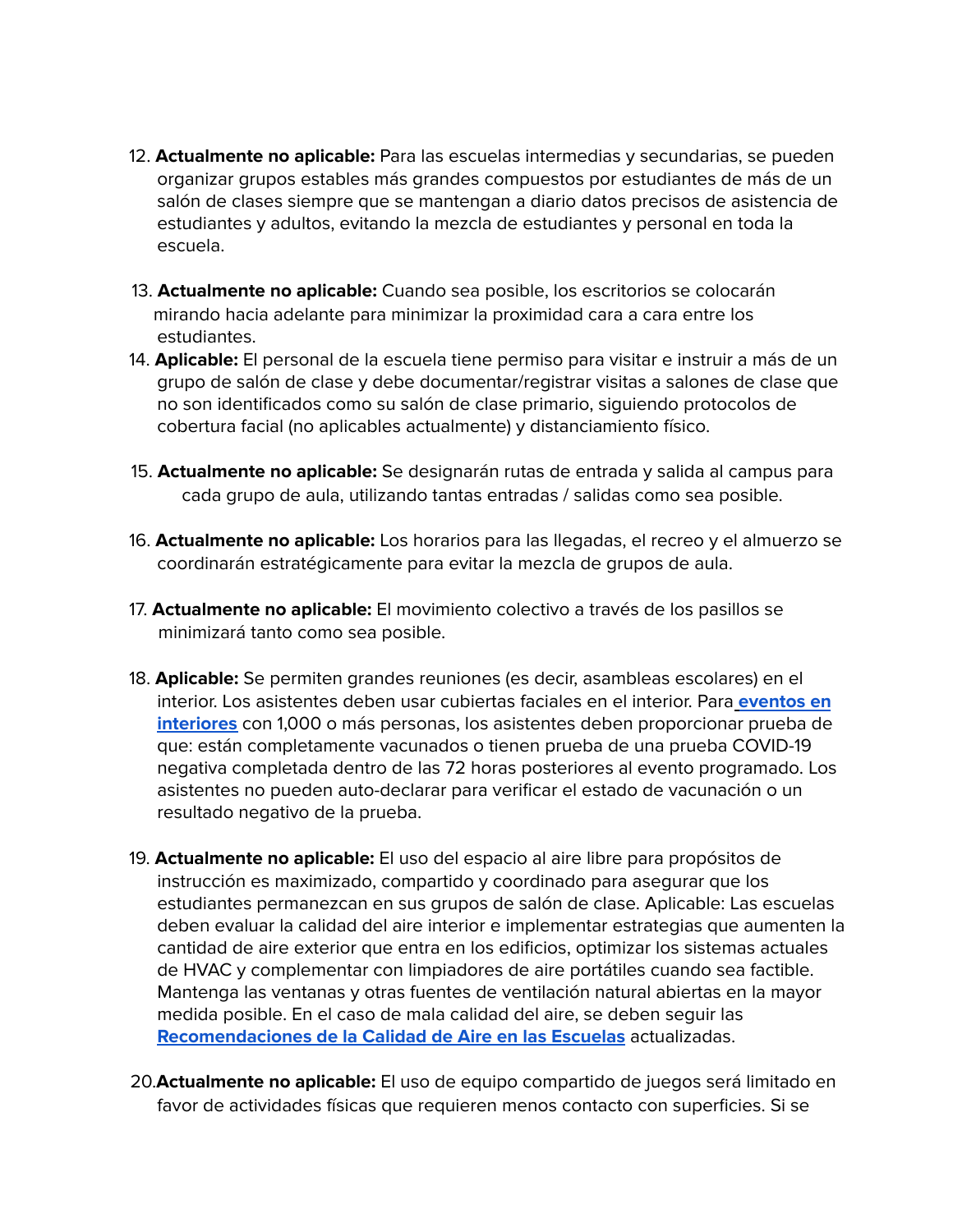- 12. **Actualmente no aplicable:** Para las escuelas intermedias y secundarias, se pueden organizar grupos estables más grandes compuestos por estudiantes de más de un salón de clases siempre que se mantengan a diario datos precisos de asistencia de estudiantes y adultos, evitando la mezcla de estudiantes y personal en toda la escuela.
- 13. **Actualmente no aplicable:** Cuando sea posible, los escritorios se colocarán mirando hacia adelante para minimizar la proximidad cara a cara entre los estudiantes.
- 14. **Aplicable:** El personal de la escuela tiene permiso para visitar e instruir a más de un grupo de salón de clase y debe documentar/registrar visitas a salones de clase que no son identificados como su salón de clase primario, siguiendo protocolos de cobertura facial (no aplicables actualmente) y distanciamiento físico.
- 15. **Actualmente no aplicable:** Se designarán rutas de entrada y salida al campus para cada grupo de aula, utilizando tantas entradas / salidas como sea posible.
- 16. **Actualmente no aplicable:** Los horarios para las llegadas, el recreo y el almuerzo se coordinarán estratégicamente para evitar la mezcla de grupos de aula.
- 17. **Actualmente no aplicable:** El movimiento colectivo a través de los pasillos se minimizará tanto como sea posible.
- 18. **Aplicable:** Se permiten grandes reuniones (es decir, asambleas escolares) en el interior. Los asistentes deben usar cubiertas faciales en el interior. Para **eventos en interiores** con 1,000 o más personas, los asistentes deben proporcionar prueba de que: están completamente vacunados o tienen prueba de una prueba COVID-19 negativa completada dentro de las 72 horas posteriores al evento programado. Los asistentes no pueden auto-declarar para verificar el estado de vacunación o un resultado negativo de la prueba.
- 19. **Actualmente no aplicable:** El uso del espacio al aire libre para propósitos de instrucción es maximizado, compartido y coordinado para asegurar que los estudiantes permanezcan en sus grupos de salón de clase. Aplicable: Las escuelas deben evaluar la calidad del aire interior e implementar estrategias que aumenten la cantidad de aire exterior que entra en los edificios, optimizar los sistemas actuales de HVAC y complementar con limpiadores de aire portátiles cuando sea factible. Mantenga las ventanas y otras fuentes de ventilación natural abiertas en la mayor medida posible. En el caso de mala calidad del aire, se deben seguir las **Recomendaciones de la Calidad de Aire en las Escuelas** actualizadas.
- 20.**Actualmente no aplicable:** El uso de equipo compartido de juegos será limitado en favor de actividades físicas que requieren menos contacto con superficies. Si se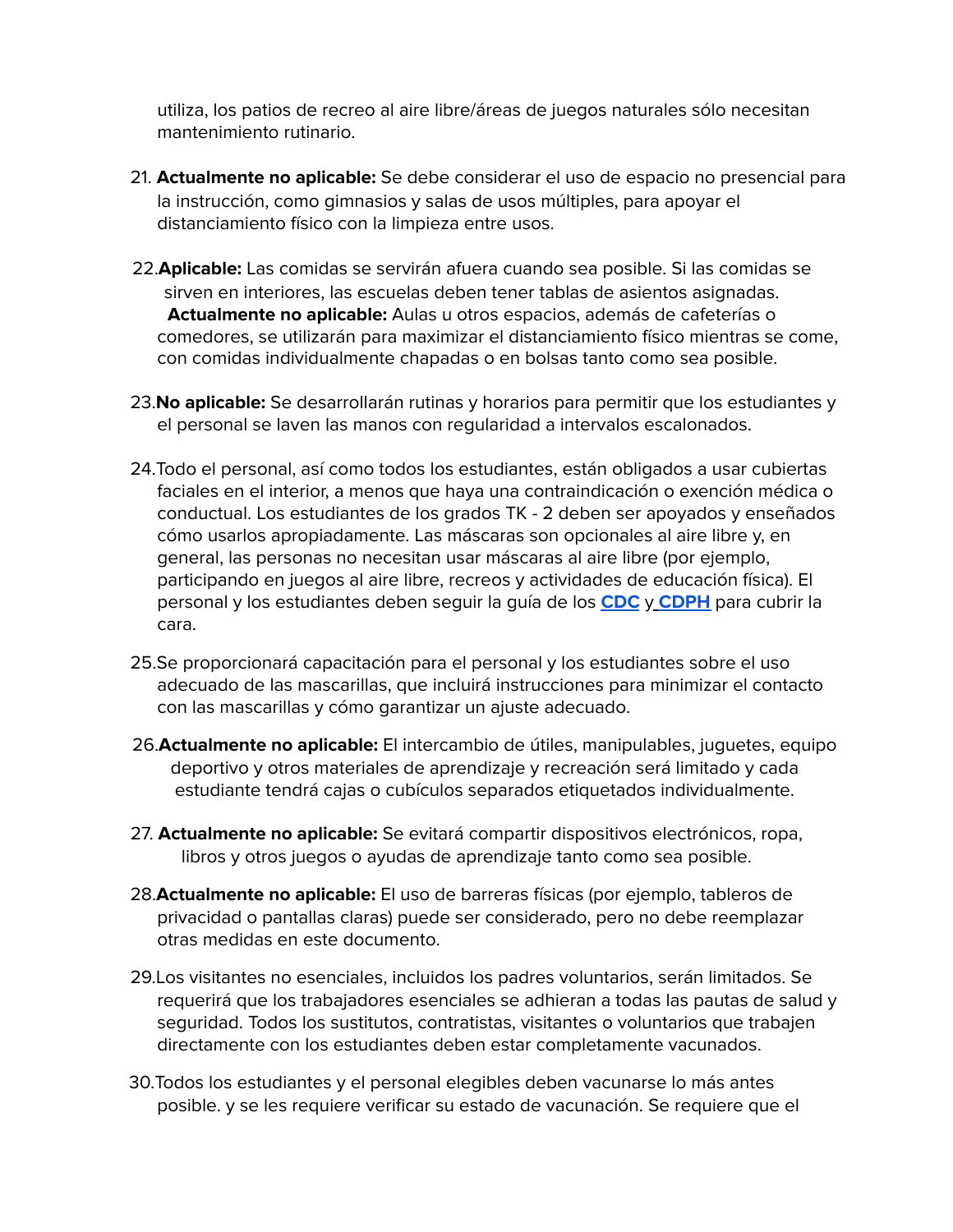utiliza, los patios de recreo al aire libre/áreas de juegos naturales sólo necesitan mantenimiento rutinario.

- 21. **Actualmente no aplicable:** Se debe considerar el uso de espacio no presencial para la instrucción, como gimnasios y salas de usos múltiples, para apoyar el distanciamiento físico con la limpieza entre usos.
- 22.**Aplicable:** Las comidas se servirán afuera cuando sea posible. Si las comidas se sirven en interiores, las escuelas deben tener tablas de asientos asignadas. **Actualmente no aplicable:** Aulas u otros espacios, además de cafeterías o comedores, se utilizarán para maximizar el distanciamiento físico mientras se come, con comidas individualmente chapadas o en bolsas tanto como sea posible.
- 23.**No aplicable:** Se desarrollarán rutinas y horarios para permitir que los estudiantes y el personal se laven las manos con regularidad a intervalos escalonados.
- 24.Todo el personal, así como todos los estudiantes, están obligados a usar cubiertas faciales en el interior, a menos que haya una contraindicación o exención médica o conductual. Los estudiantes de los grados TK - 2 deben ser apoyados y enseñados cómo usarlos apropiadamente. Las máscaras son opcionales al aire libre y, en general, las personas no necesitan usar máscaras al aire libre (por ejemplo, participando en juegos al aire libre, recreos y actividades de educación física). El personal y los estudiantes deben seguir la guía de los **CDC** y **CDPH** para cubrir la cara.
- 25.Se proporcionará capacitación para el personal y los estudiantes sobre el uso adecuado de las mascarillas, que incluirá instrucciones para minimizar el contacto con las mascarillas y cómo garantizar un ajuste adecuado.
- 26.**Actualmente no aplicable:** El intercambio de útiles, manipulables, juguetes, equipo deportivo y otros materiales de aprendizaje y recreación será limitado y cada estudiante tendrá cajas o cubículos separados etiquetados individualmente.
- 27. **Actualmente no aplicable:** Se evitará compartir dispositivos electrónicos, ropa, libros y otros juegos o ayudas de aprendizaje tanto como sea posible.
- 28.**Actualmente no aplicable:** El uso de barreras físicas (por ejemplo, tableros de privacidad o pantallas claras) puede ser considerado, pero no debe reemplazar otras medidas en este documento.
- 29.Los visitantes no esenciales, incluidos los padres voluntarios, serán limitados. Se requerirá que los trabajadores esenciales se adhieran a todas las pautas de salud y seguridad. Todos los sustitutos, contratistas, visitantes o voluntarios que trabajen directamente con los estudiantes deben estar completamente vacunados.
- 30.Todos los estudiantes y el personal elegibles deben vacunarse lo más antes posible. y se les requiere verificar su estado de vacunación. Se requiere que el